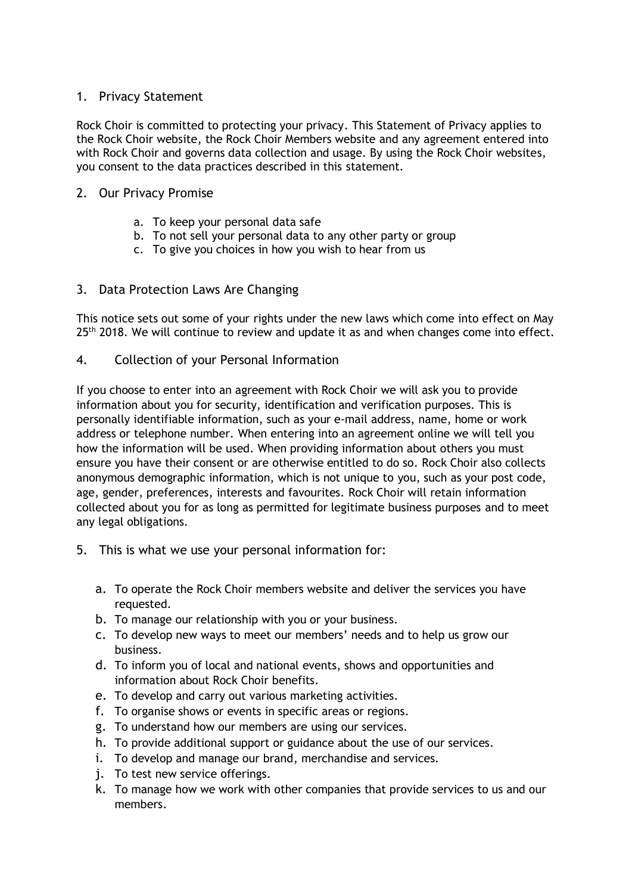# 1. Privacy Statement

Rock Choir is committed to protecting your privacy. This Statement of Privacy applies to the Rock Choir website, the Rock Choir Members website and any agreement entered into with Rock Choir and governs data collection and usage. By using the Rock Choir websites, you consent to the data practices described in this statement.

# 2. Our Privacy Promise

- a. To keep your personal data safe
- b. To not sell your personal data to any other party or group
- c. To give you choices in how you wish to hear from us

# 3. Data Protection Laws Are Changing

This notice sets out some of your rights under the new laws which come into effect on May 25<sup>th</sup> 2018. We will continue to review and update it as and when changes come into effect.

4. Collection of your Personal Information

If you choose to enter into an agreement with Rock Choir we will ask you to provide information about you for security, identification and verification purposes. This is personally identifiable information, such as your e-mail address, name, home or work address or telephone number. When entering into an agreement online we will tell you how the information will be used. When providing information about others you must ensure you have their consent or are otherwise entitled to do so. Rock Choir also collects anonymous demographic information, which is not unique to you, such as your post code, age, gender, preferences, interests and favourites. Rock Choir will retain information collected about you for as long as permitted for legitimate business purposes and to meet any legal obligations.

- 5. This is what we use your personal information for:
	- a. To operate the Rock Choir members website and deliver the services you have requested.
	- b. To manage our relationship with you or your business.
	- c. To develop new ways to meet our members' needs and to help us grow our business.
	- d. To inform you of local and national events, shows and opportunities and information about Rock Choir benefits.
	- e. To develop and carry out various marketing activities.
	- f. To organise shows or events in specific areas or regions.
	- g. To understand how our members are using our services.
	- h. To provide additional support or guidance about the use of our services.
	- i. To develop and manage our brand, merchandise and services.
	- j. To test new service offerings.
	- k. To manage how we work with other companies that provide services to us and our members.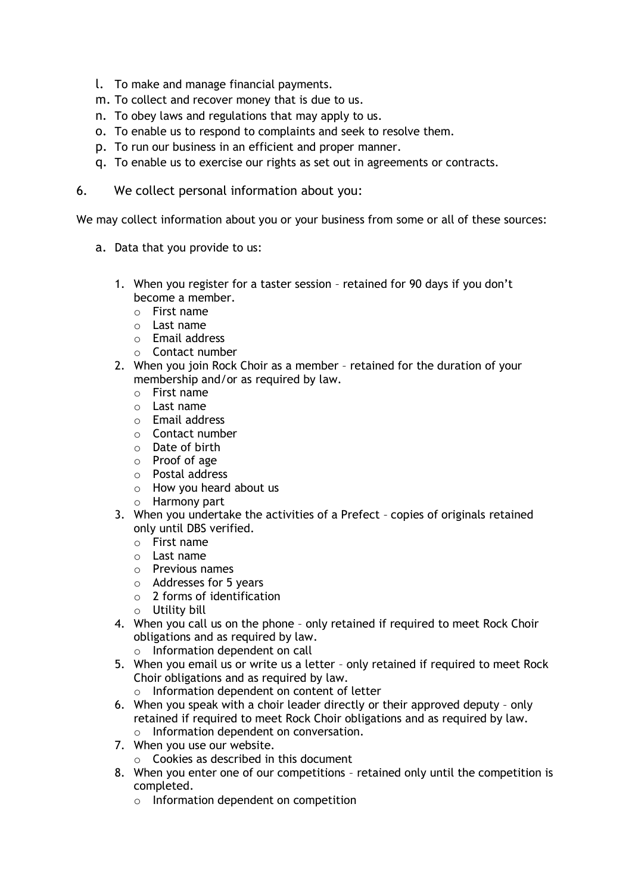- l. To make and manage financial payments.
- m. To collect and recover money that is due to us.
- n. To obey laws and regulations that may apply to us.
- o. To enable us to respond to complaints and seek to resolve them.
- p. To run our business in an efficient and proper manner.
- q. To enable us to exercise our rights as set out in agreements or contracts.
- 6. We collect personal information about you:

We may collect information about you or your business from some or all of these sources:

- a. Data that you provide to us:
	- 1. When you register for a taster session retained for 90 days if you don't become a member.
		- o First name
		- o Last name
		- o Email address
		- o Contact number
	- 2. When you join Rock Choir as a member retained for the duration of your membership and/or as required by law.
		- o First name
		- o Last name
		- o Email address
		- o Contact number
		- o Date of birth
		- o Proof of age
		- o Postal address
		- o How you heard about us
		- o Harmony part
	- 3. When you undertake the activities of a Prefect copies of originals retained only until DBS verified.
		- o First name
		- o Last name
		- o Previous names
		- o Addresses for 5 years
		- o 2 forms of identification
		- o Utility bill
	- 4. When you call us on the phone only retained if required to meet Rock Choir obligations and as required by law.
		- o Information dependent on call
	- 5. When you email us or write us a letter only retained if required to meet Rock Choir obligations and as required by law.
		- o Information dependent on content of letter
	- 6. When you speak with a choir leader directly or their approved deputy only retained if required to meet Rock Choir obligations and as required by law. o Information dependent on conversation.
	- 7. When you use our website.
		- o Cookies as described in this document
	- 8. When you enter one of our competitions retained only until the competition is completed.
		- o Information dependent on competition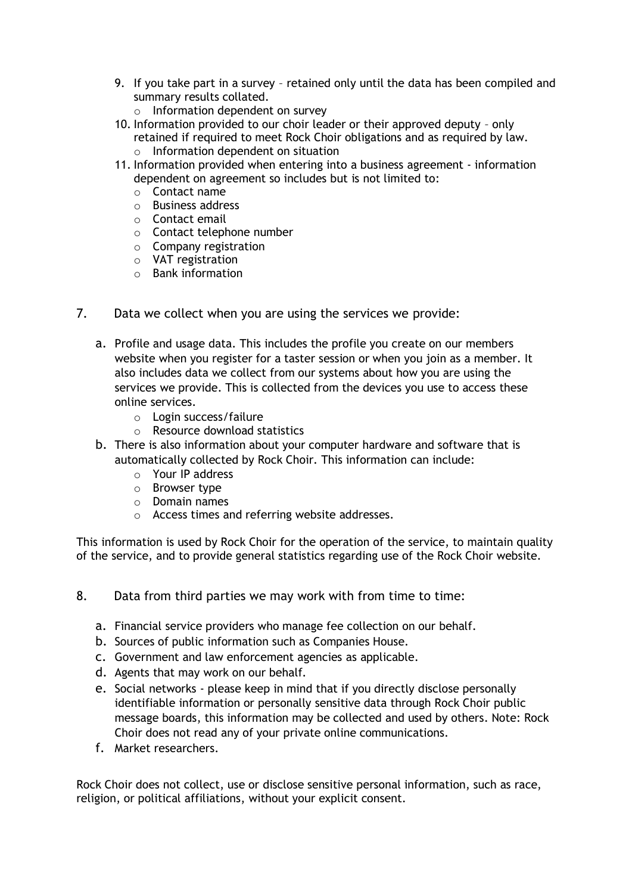- 9. If you take part in a survey retained only until the data has been compiled and summary results collated.
	- o Information dependent on survey
- 10. Information provided to our choir leader or their approved deputy only retained if required to meet Rock Choir obligations and as required by law. o Information dependent on situation
- 11. Information provided when entering into a business agreement information dependent on agreement so includes but is not limited to:
	- o Contact name
	- o Business address
	- o Contact email
	- o Contact telephone number
	- o Company registration
	- o VAT registration
	- o Bank information
- 7. Data we collect when you are using the services we provide:
	- a. Profile and usage data. This includes the profile you create on our members website when you register for a taster session or when you join as a member. It also includes data we collect from our systems about how you are using the services we provide. This is collected from the devices you use to access these online services.
		- o Login success/failure
		- o Resource download statistics
	- b. There is also information about your computer hardware and software that is automatically collected by Rock Choir. This information can include:
		- o Your IP address
		- o Browser type
		- o Domain names
		- o Access times and referring website addresses.

This information is used by Rock Choir for the operation of the service, to maintain quality of the service, and to provide general statistics regarding use of the Rock Choir website.

8. Data from third parties we may work with from time to time:

- a. Financial service providers who manage fee collection on our behalf.
- b. Sources of public information such as Companies House.
- c. Government and law enforcement agencies as applicable.
- d. Agents that may work on our behalf.
- e. Social networks please keep in mind that if you directly disclose personally identifiable information or personally sensitive data through Rock Choir public message boards, this information may be collected and used by others. Note: Rock Choir does not read any of your private online communications.
- f. Market researchers.

Rock Choir does not collect, use or disclose sensitive personal information, such as race, religion, or political affiliations, without your explicit consent.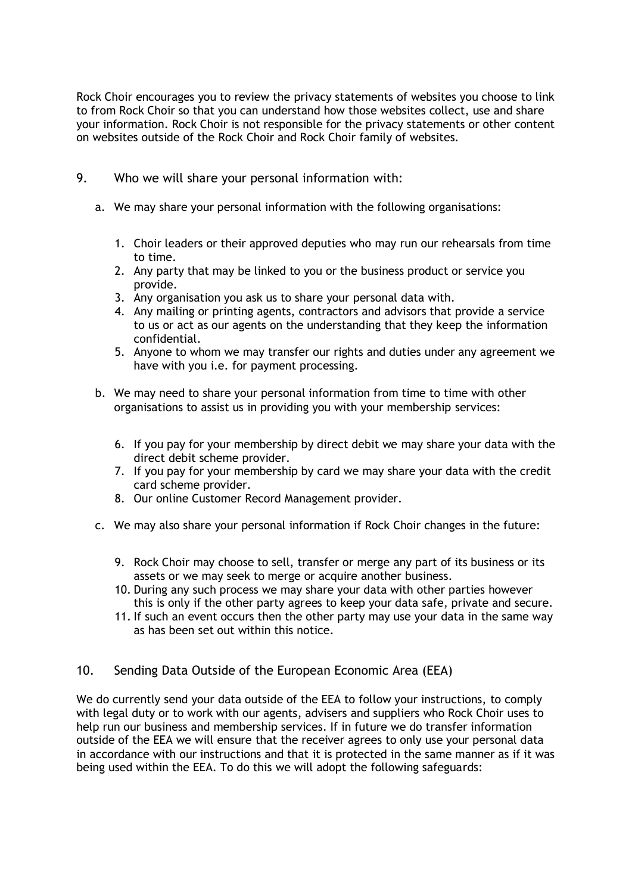Rock Choir encourages you to review the privacy statements of websites you choose to link to from Rock Choir so that you can understand how those websites collect, use and share your information. Rock Choir is not responsible for the privacy statements or other content on websites outside of the Rock Choir and Rock Choir family of websites.

- 9. Who we will share your personal information with:
	- a. We may share your personal information with the following organisations:
		- 1. Choir leaders or their approved deputies who may run our rehearsals from time to time.
		- 2. Any party that may be linked to you or the business product or service you provide.
		- 3. Any organisation you ask us to share your personal data with.
		- 4. Any mailing or printing agents, contractors and advisors that provide a service to us or act as our agents on the understanding that they keep the information confidential.
		- 5. Anyone to whom we may transfer our rights and duties under any agreement we have with you i.e. for payment processing.
	- b. We may need to share your personal information from time to time with other organisations to assist us in providing you with your membership services:
		- 6. If you pay for your membership by direct debit we may share your data with the direct debit scheme provider.
		- 7. If you pay for your membership by card we may share your data with the credit card scheme provider.
		- 8. Our online Customer Record Management provider.
	- c. We may also share your personal information if Rock Choir changes in the future:
		- 9. Rock Choir may choose to sell, transfer or merge any part of its business or its assets or we may seek to merge or acquire another business.
		- 10. During any such process we may share your data with other parties however this is only if the other party agrees to keep your data safe, private and secure.
		- 11. If such an event occurs then the other party may use your data in the same way as has been set out within this notice.
- 10. Sending Data Outside of the European Economic Area (EEA)

We do currently send your data outside of the EEA to follow your instructions, to comply with legal duty or to work with our agents, advisers and suppliers who Rock Choir uses to help run our business and membership services. If in future we do transfer information outside of the EEA we will ensure that the receiver agrees to only use your personal data in accordance with our instructions and that it is protected in the same manner as if it was being used within the EEA. To do this we will adopt the following safeguards: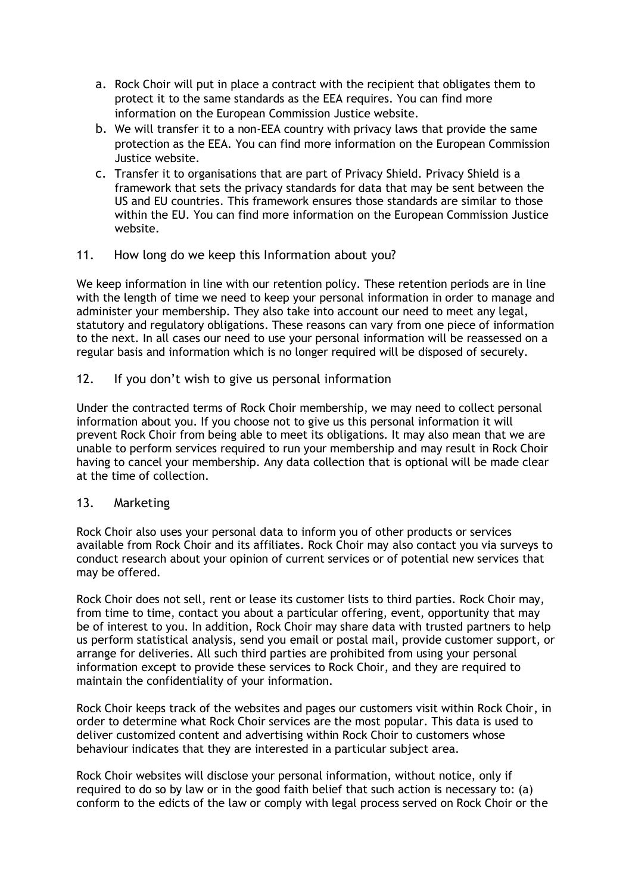- a. Rock Choir will put in place a contract with the recipient that obligates them to protect it to the same standards as the EEA requires. You can find more information on the European Commission Justice website.
- b. We will transfer it to a non-EEA country with privacy laws that provide the same protection as the EEA. You can find more information on the European Commission Justice website.
- c. Transfer it to organisations that are part of Privacy Shield. Privacy Shield is a framework that sets the privacy standards for data that may be sent between the US and EU countries. This framework ensures those standards are similar to those within the EU. You can find more information on the European Commission Justice website.
- 11. How long do we keep this Information about you?

We keep information in line with our retention policy. These retention periods are in line with the length of time we need to keep your personal information in order to manage and administer your membership. They also take into account our need to meet any legal, statutory and regulatory obligations. These reasons can vary from one piece of information to the next. In all cases our need to use your personal information will be reassessed on a regular basis and information which is no longer required will be disposed of securely.

12. If you don't wish to give us personal information

Under the contracted terms of Rock Choir membership, we may need to collect personal information about you. If you choose not to give us this personal information it will prevent Rock Choir from being able to meet its obligations. It may also mean that we are unable to perform services required to run your membership and may result in Rock Choir having to cancel your membership. Any data collection that is optional will be made clear at the time of collection.

#### 13. Marketing

Rock Choir also uses your personal data to inform you of other products or services available from Rock Choir and its affiliates. Rock Choir may also contact you via surveys to conduct research about your opinion of current services or of potential new services that may be offered.

Rock Choir does not sell, rent or lease its customer lists to third parties. Rock Choir may, from time to time, contact you about a particular offering, event, opportunity that may be of interest to you. In addition, Rock Choir may share data with trusted partners to help us perform statistical analysis, send you email or postal mail, provide customer support, or arrange for deliveries. All such third parties are prohibited from using your personal information except to provide these services to Rock Choir, and they are required to maintain the confidentiality of your information.

Rock Choir keeps track of the websites and pages our customers visit within Rock Choir, in order to determine what Rock Choir services are the most popular. This data is used to deliver customized content and advertising within Rock Choir to customers whose behaviour indicates that they are interested in a particular subject area.

Rock Choir websites will disclose your personal information, without notice, only if required to do so by law or in the good faith belief that such action is necessary to: (a) conform to the edicts of the law or comply with legal process served on Rock Choir or the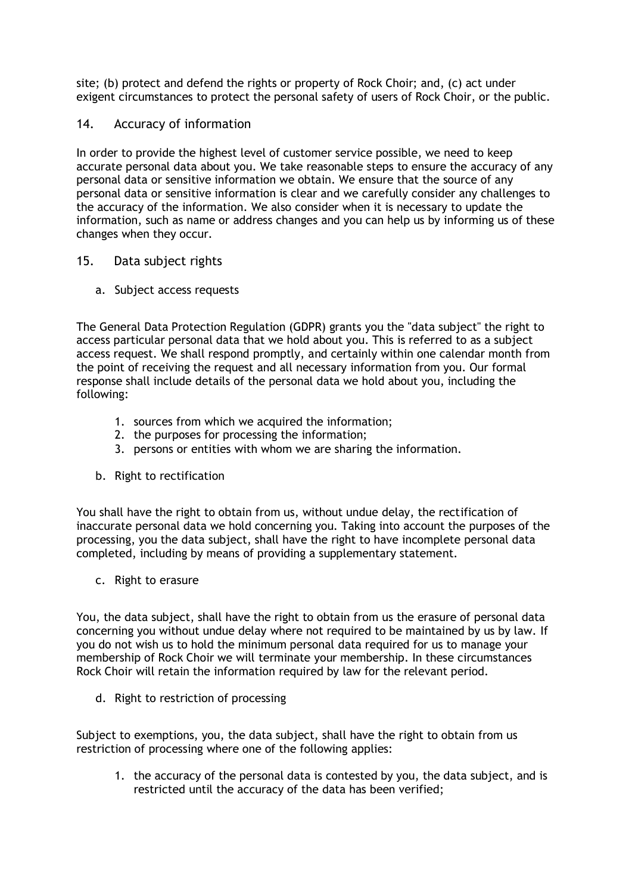site; (b) protect and defend the rights or property of Rock Choir; and, (c) act under exigent circumstances to protect the personal safety of users of Rock Choir, or the public.

14. Accuracy of information

In order to provide the highest level of customer service possible, we need to keep accurate personal data about you. We take reasonable steps to ensure the accuracy of any personal data or sensitive information we obtain. We ensure that the source of any personal data or sensitive information is clear and we carefully consider any challenges to the accuracy of the information. We also consider when it is necessary to update the information, such as name or address changes and you can help us by informing us of these changes when they occur.

- 15. Data subject rights
	- a. Subject access requests

The General Data Protection Regulation (GDPR) grants you the "data subject" the right to access particular personal data that we hold about you. This is referred to as a subject access request. We shall respond promptly, and certainly within one calendar month from the point of receiving the request and all necessary information from you. Our formal response shall include details of the personal data we hold about you, including the following:

- 1. sources from which we acquired the information;
- 2. the purposes for processing the information;
- 3. persons or entities with whom we are sharing the information.
- b. Right to rectification

You shall have the right to obtain from us, without undue delay, the rectification of inaccurate personal data we hold concerning you. Taking into account the purposes of the processing, you the data subject, shall have the right to have incomplete personal data completed, including by means of providing a supplementary statement.

c. Right to erasure

You, the data subject, shall have the right to obtain from us the erasure of personal data concerning you without undue delay where not required to be maintained by us by law. If you do not wish us to hold the minimum personal data required for us to manage your membership of Rock Choir we will terminate your membership. In these circumstances Rock Choir will retain the information required by law for the relevant period.

d. Right to restriction of processing

Subject to exemptions, you, the data subject, shall have the right to obtain from us restriction of processing where one of the following applies:

1. the accuracy of the personal data is contested by you, the data subject, and is restricted until the accuracy of the data has been verified;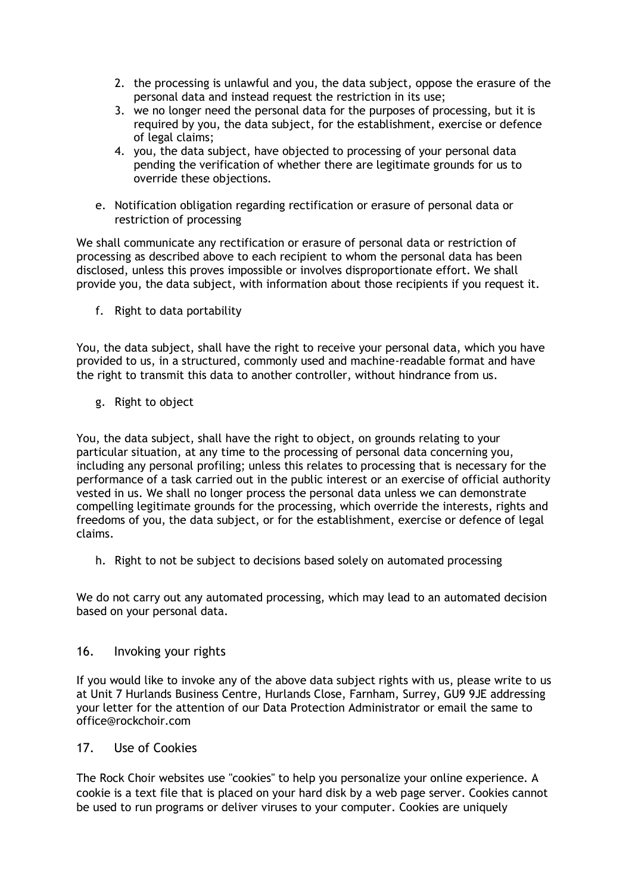- 2. the processing is unlawful and you, the data subject, oppose the erasure of the personal data and instead request the restriction in its use;
- 3. we no longer need the personal data for the purposes of processing, but it is required by you, the data subject, for the establishment, exercise or defence of legal claims;
- 4. you, the data subject, have objected to processing of your personal data pending the verification of whether there are legitimate grounds for us to override these objections.
- e. Notification obligation regarding rectification or erasure of personal data or restriction of processing

We shall communicate any rectification or erasure of personal data or restriction of processing as described above to each recipient to whom the personal data has been disclosed, unless this proves impossible or involves disproportionate effort. We shall provide you, the data subject, with information about those recipients if you request it.

f. Right to data portability

You, the data subject, shall have the right to receive your personal data, which you have provided to us, in a structured, commonly used and machine-readable format and have the right to transmit this data to another controller, without hindrance from us.

g. Right to object

You, the data subject, shall have the right to object, on grounds relating to your particular situation, at any time to the processing of personal data concerning you, including any personal profiling; unless this relates to processing that is necessary for the performance of a task carried out in the public interest or an exercise of official authority vested in us. We shall no longer process the personal data unless we can demonstrate compelling legitimate grounds for the processing, which override the interests, rights and freedoms of you, the data subject, or for the establishment, exercise or defence of legal claims.

h. Right to not be subject to decisions based solely on automated processing

We do not carry out any automated processing, which may lead to an automated decision based on your personal data.

#### 16. Invoking your rights

If you would like to invoke any of the above data subject rights with us, please write to us at Unit 7 Hurlands Business Centre, Hurlands Close, Farnham, Surrey, GU9 9JE addressing your letter for the attention of our Data Protection Administrator or email the same to office@rockchoir.com

#### 17. Use of Cookies

The Rock Choir websites use "cookies" to help you personalize your online experience. A cookie is a text file that is placed on your hard disk by a web page server. Cookies cannot be used to run programs or deliver viruses to your computer. Cookies are uniquely